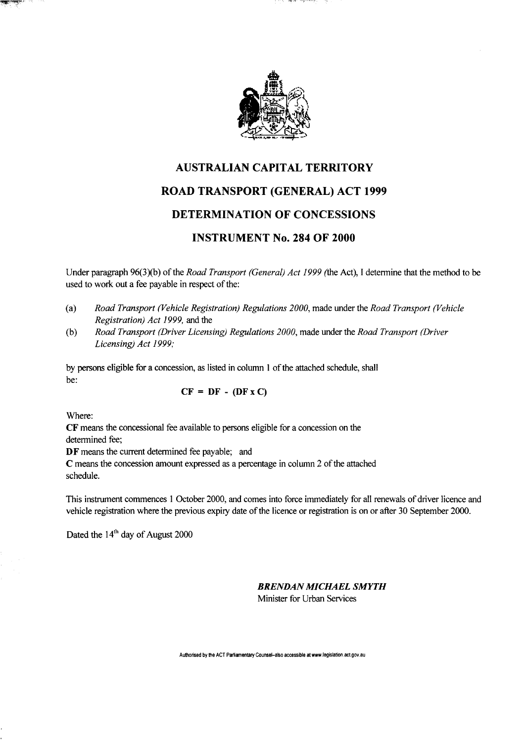

## AUSTRALIAN CAPITAL TERRITORY ROAD TRANSPORT (GENERAL) ACT 1999 DETERMINATION OF CONCESSIONS INSTRUMENT No. 284 OF 2000

Under paragraph 96(3)(b) of the *Road Transport (General) Act 1999* (the Act), I determine that the method to be used to work out a fee payable in respect of the:

- (a) *Road Transport (Vehicle Registration) Regulations 2000,* made under the *Road Transport (Vehicle Registration) Act 1999,* and the
- (b) *Road Transport (Driver Licensing) Regulations 2000,* made under the *Road Transport (Driver Licensing) Act 1999;*

by persons eligible for a concession, as listed in column 1 of the attached schedule, shall be:

$$
CF = DF - (DF x C)
$$

Where:

CF means the concessional fee available to persons eligible for a concession on the determined fee;

DF means the current determined fee payable; and

C means the concession amount expressed as a percentage in column 2 of the attached schedule.

This instrument commences 1 October 2000, and comes into force immediately for all renewals of driver licence and vehicle registration where the previous expiry date of the licence or registration is on or after 30 September 2000.

Dated the  $14<sup>th</sup>$  day of August 2000

## *BRENDAN MICHAEL SMYTH*

Minister for Urban Services

**Authorised by the ACT Parliamentary Counsel-also accessible at www.legislation.act.gov.au**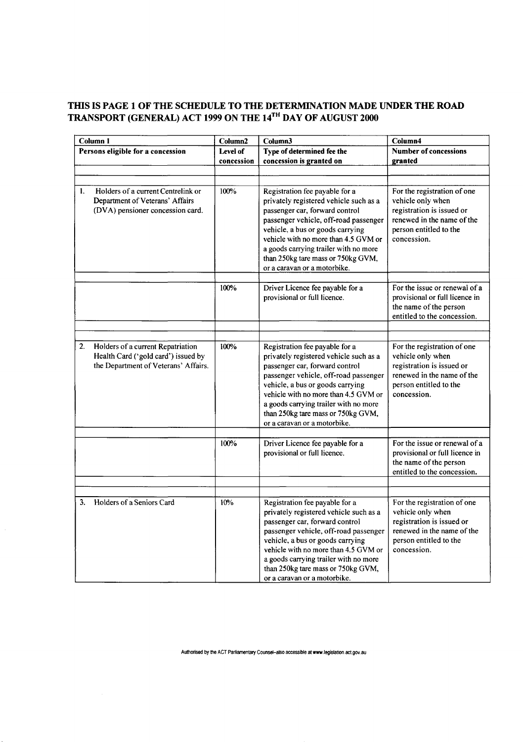## **THIS IS PAGE 1 OF THE SCHEDULE TO THE DETERMINATION MADE UNDER THE ROAD TRANSPORT (GENERAL) ACT 1999 ON THE 14™ DAY OF AUGUST 2000**

| Column <sub>1</sub>               |                                                                                                                  | Column2                | Column3                                                                                                                                                                                                                                                                                                                                        | Column4                                                                                                                                              |
|-----------------------------------|------------------------------------------------------------------------------------------------------------------|------------------------|------------------------------------------------------------------------------------------------------------------------------------------------------------------------------------------------------------------------------------------------------------------------------------------------------------------------------------------------|------------------------------------------------------------------------------------------------------------------------------------------------------|
| Persons eligible for a concession |                                                                                                                  | Level of<br>concession | Type of determined fee the<br>concession is granted on                                                                                                                                                                                                                                                                                         | <b>Number of concessions</b><br>granted                                                                                                              |
|                                   |                                                                                                                  |                        |                                                                                                                                                                                                                                                                                                                                                |                                                                                                                                                      |
| 1.                                | Holders of a current Centrelink or<br>Department of Veterans' Affairs<br>(DVA) pensioner concession card.        | 100%                   | Registration fee payable for a<br>privately registered vehicle such as a<br>passenger car, forward control<br>passenger vehicle, off-road passenger<br>vehicle, a bus or goods carrying<br>vehicle with no more than 4.5 GVM or<br>a goods carrying trailer with no more<br>than 250kg tare mass or 750kg GVM,<br>or a caravan or a motorbike. | For the registration of one<br>vehicle only when<br>registration is issued or<br>renewed in the name of the<br>person entitled to the<br>concession. |
|                                   |                                                                                                                  | 100%                   | Driver Licence fee payable for a<br>provisional or full licence.                                                                                                                                                                                                                                                                               | For the issue or renewal of a<br>provisional or full licence in<br>the name of the person<br>entitled to the concession.                             |
|                                   |                                                                                                                  |                        |                                                                                                                                                                                                                                                                                                                                                |                                                                                                                                                      |
| 2.                                | Holders of a current Repatriation<br>Health Card ('gold card') issued by<br>the Department of Veterans' Affairs. | 100%                   | Registration fee payable for a<br>privately registered vehicle such as a<br>passenger car, forward control<br>passenger vehicle, off-road passenger<br>vehicle, a bus or goods carrying<br>vehicle with no more than 4.5 GVM or<br>a goods carrying trailer with no more<br>than 250kg tare mass or 750kg GVM,<br>or a caravan or a motorbike. | For the registration of one<br>vehicle only when<br>registration is issued or<br>renewed in the name of the<br>person entitled to the<br>concession. |
|                                   |                                                                                                                  | 100%                   | Driver Licence fee payable for a<br>provisional or full licence.                                                                                                                                                                                                                                                                               | For the issue or renewal of a<br>provisional or full licence in<br>the name of the person<br>entitled to the concession.                             |
|                                   |                                                                                                                  |                        |                                                                                                                                                                                                                                                                                                                                                |                                                                                                                                                      |
| 3.                                | Holders of a Seniors Card                                                                                        | 10%                    | Registration fee payable for a<br>privately registered vehicle such as a<br>passenger car, forward control<br>passenger vehicle, off-road passenger<br>vehicle, a bus or goods carrying<br>vehicle with no more than 4.5 GVM or<br>a goods carrying trailer with no more<br>than 250kg tare mass or 750kg GVM,<br>or a caravan or a motorbike. | For the registration of one<br>vehicle only when<br>registration is issued or<br>renewed in the name of the<br>person entitled to the<br>concession. |